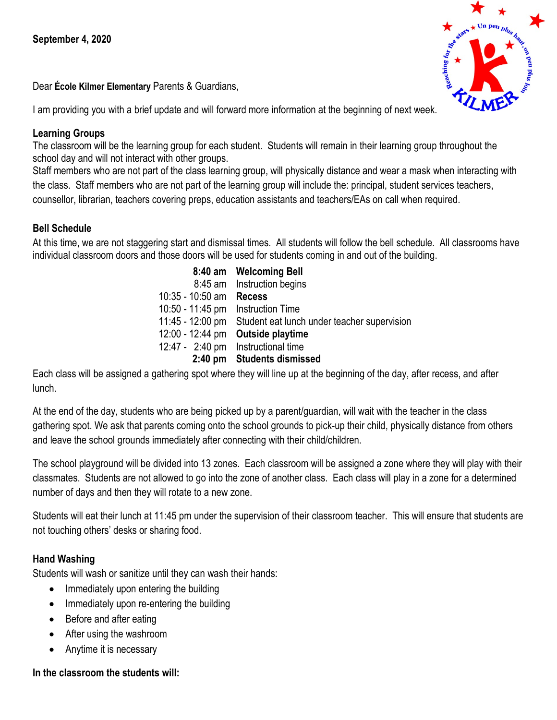Dear **École Kilmer Elementary** Parents & Guardians,

I am providing you with a brief update and will forward more information at the beginning of next week.

# **Learning Groups**

The classroom will be the learning group for each student. Students will remain in their learning group throughout the school day and will not interact with other groups.

Staff members who are not part of the class learning group, will physically distance and wear a mask when interacting with the class. Staff members who are not part of the learning group will include the: principal, student services teachers, counsellor, librarian, teachers covering preps, education assistants and teachers/EAs on call when required.

# **Bell Schedule**

At this time, we are not staggering start and dismissal times. All students will follow the bell schedule. All classrooms have individual classroom doors and those doors will be used for students coming in and out of the building.

> **8:40 am Welcoming Bell**  8:45 am Instruction begins 10:35 - 10:50 am **Recess** 10:50 - 11:45 pm Instruction Time 11:45 - 12:00 pm Student eat lunch under teacher supervision 12:00 - 12:44 pm **Outside playtime** 12:47 - 2:40 pm Instructional time **2:40 pm Students dismissed**

Each class will be assigned a gathering spot where they will line up at the beginning of the day, after recess, and after lunch.

At the end of the day, students who are being picked up by a parent/guardian, will wait with the teacher in the class gathering spot. We ask that parents coming onto the school grounds to pick-up their child, physically distance from others and leave the school grounds immediately after connecting with their child/children.

The school playground will be divided into 13 zones. Each classroom will be assigned a zone where they will play with their classmates. Students are not allowed to go into the zone of another class. Each class will play in a zone for a determined number of days and then they will rotate to a new zone.

Students will eat their lunch at 11:45 pm under the supervision of their classroom teacher. This will ensure that students are not touching others' desks or sharing food.

# **Hand Washing**

Students will wash or sanitize until they can wash their hands:

- Immediately upon entering the building
- Immediately upon re-entering the building
- Before and after eating
- After using the washroom
- Anytime it is necessary

# **In the classroom the students will:**

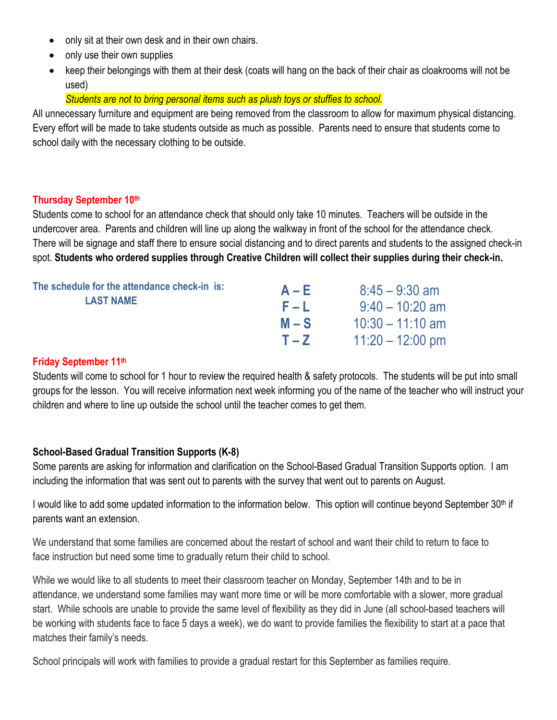- only sit at their own desk and in their own chairs.
- only use their own supplies
- keep their belongings with them at their desk (coats will hang on the back of their chair as cloakrooms will not be used)

### *Students are not to bring personal items such as plush toys or stuffies to school.*

All unnecessary furniture and equipment are being removed from the classroom to allow for maximum physical distancing. Every effort will be made to take students outside as much as possible. Parents need to ensure that students come to school daily with the necessary clothing to be outside.

#### **Thursday September 10th**

Students come to school for an attendance check that should only take 10 minutes. Teachers will be outside in the undercover area. Parents and children will line up along the walkway in front of the school for the attendance check. There will be signage and staff there to ensure social distancing and to direct parents and students to the assigned check-in spot. **Students who ordered supplies through Creative Children will collect their supplies during their check-in.**

| The schedule for the attendance check-in is:<br><b>LAST NAME</b> | $A - E$ | $8:45 - 9:30$ am   |
|------------------------------------------------------------------|---------|--------------------|
|                                                                  | F – L   | $9:40 - 10:20$ am  |
|                                                                  | $M-S$   | $10:30 - 11:10$ am |
|                                                                  | $T - Z$ | $11:20 - 12:00$ pm |

#### **Friday September 11th**

Students will come to school for 1 hour to review the required health & safety protocols. The students will be put into small groups for the lesson. You will receive information next week informing you of the name of the teacher who will instruct your children and where to line up outside the school until the teacher comes to get them.

### **School-Based Gradual Transition Supports (K-8)**

Some parents are asking for information and clarification on the School-Based Gradual Transition Supports option. I am including the information that was sent out to parents with the survey that went out to parents on August.

I would like to add some updated information to the information below. This option will continue beyond September 30<sup>th</sup> if parents want an extension.

We understand that some families are concerned about the restart of school and want their child to return to face to face instruction but need some time to gradually return their child to school.

While we would like to all students to meet their classroom teacher on Monday, September 14th and to be in attendance, we understand some families may want more time or will be more comfortable with a slower, more gradual start. While schools are unable to provide the same level of flexibility as they did in June (all school-based teachers will be working with students face to face 5 days a week), we do want to provide families the flexibility to start at a pace that matches their family's needs.

School principals will work with families to provide a gradual restart for this September as families require.